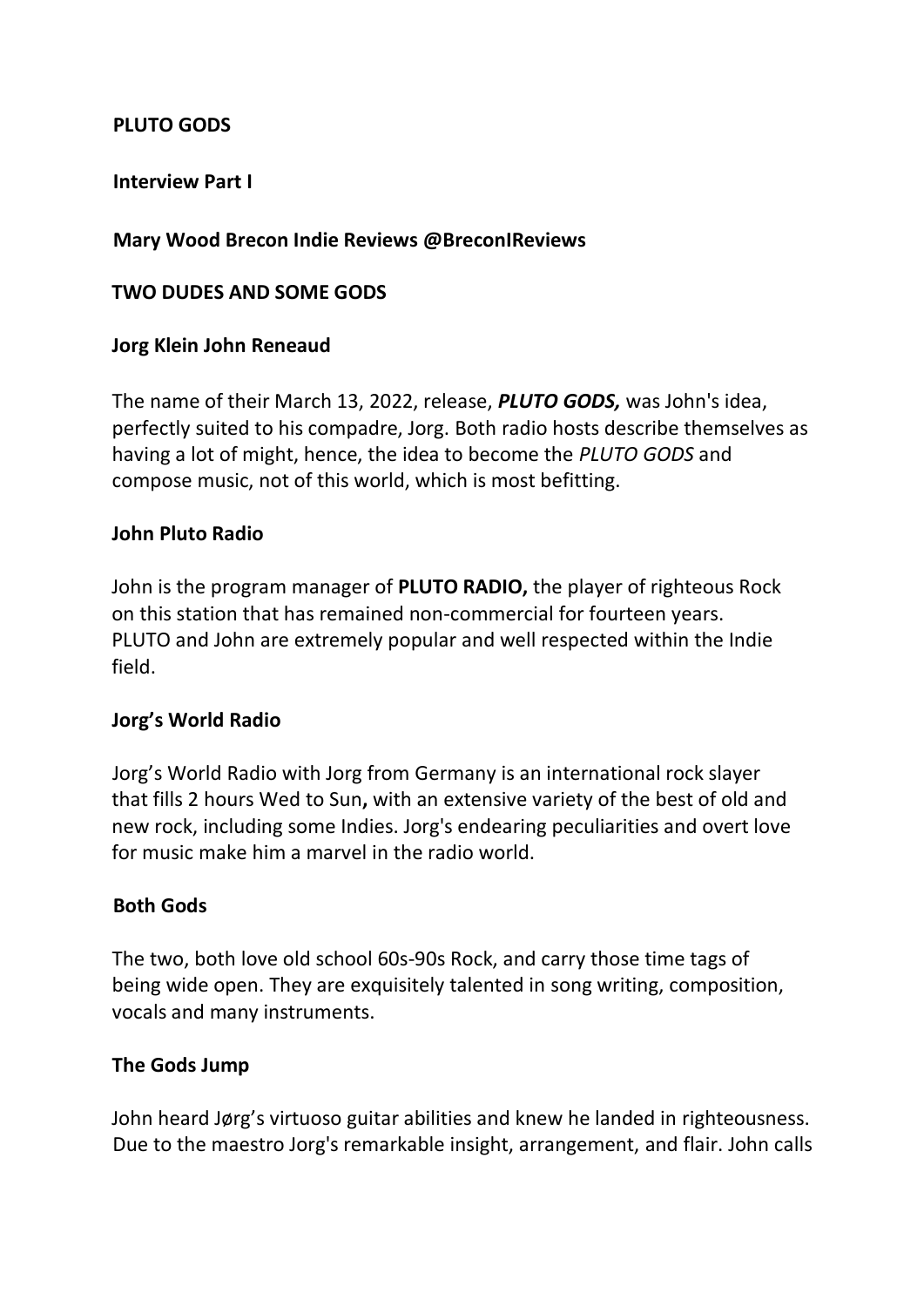## **PLUTO GODS**

## **Interview Part I**

## **Mary Wood Brecon Indie Reviews @BreconIReviews**

### **TWO DUDES AND SOME GODS**

### **Jorg Klein John Reneaud**

The name of their March 13, 2022, release, *PLUTO GODS,* was John's idea, perfectly suited to his compadre, Jorg. Both radio hosts describe themselves as having a lot of might, hence, the idea to become the *PLUTO GODS* and compose music, not of this world, which is most befitting.

### **John Pluto Radio**

John is the program manager of **PLUTO RADIO,** the player of righteous Rock on this station that has remained non-commercial for fourteen years. PLUTO and John are extremely popular and well respected within the Indie field.

#### **Jorg's World Radio**

Jorg's World Radio with Jorg from Germany is an international rock slayer that fills 2 hours Wed to Sun**,** with an extensive variety of the best of old and new rock, including some Indies. Jorg's endearing peculiarities and overt love for music make him a marvel in the radio world.

#### **Both Gods**

The two, both love old school 60s-90s Rock, and carry those time tags of being wide open. They are exquisitely talented in song writing, composition, vocals and many instruments.

#### **The Gods Jump**

John heard Jørg's virtuoso guitar abilities and knew he landed in righteousness. Due to the maestro Jorg's remarkable insight, arrangement, and flair. John calls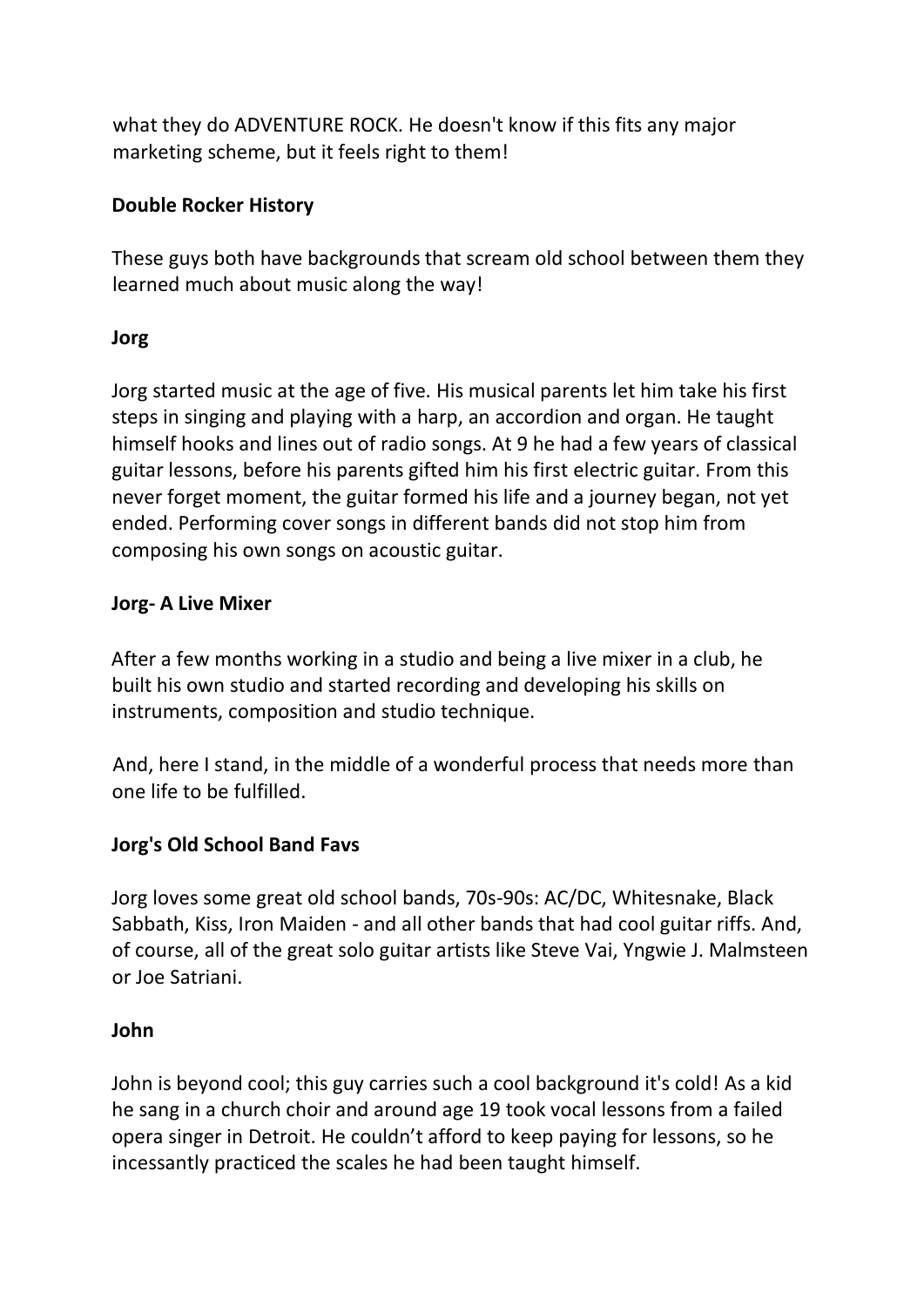what they do ADVENTURE ROCK. He doesn't know if this fits any major marketing scheme, but it feels right to them!

# **Double Rocker History**

These guys both have backgrounds that scream old school between them they learned much about music along the way!

## **Jorg**

Jorg started music at the age of five. His musical parents let him take his first steps in singing and playing with a harp, an accordion and organ. He taught himself hooks and lines out of radio songs. At 9 he had a few years of classical guitar lessons, before his parents gifted him his first electric guitar. From this never forget moment, the guitar formed his life and a journey began, not yet ended. Performing cover songs in different bands did not stop him from composing his own songs on acoustic guitar.

# **Jorg- A Live Mixer**

After a few months working in a studio and being a live mixer in a club, he built his own studio and started recording and developing his skills on instruments, composition and studio technique.

And, here I stand, in the middle of a wonderful process that needs more than one life to be fulfilled.

# **Jorg's Old School Band Favs**

Jorg loves some great old school bands, 70s-90s: AC/DC, Whitesnake, Black Sabbath, Kiss, Iron Maiden - and all other bands that had cool guitar riffs. And, of course, all of the great solo guitar artists like Steve Vai, Yngwie J. Malmsteen or Joe Satriani.

## **John**

John is beyond cool; this guy carries such a cool background it's cold! As a kid he sang in a church choir and around age 19 took vocal lessons from a failed opera singer in Detroit. He couldn't afford to keep paying for lessons, so he incessantly practiced the scales he had been taught himself.